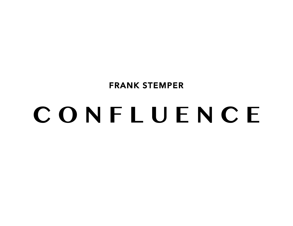## **FRANK STEMPER**

# **C O N F L U E N C E**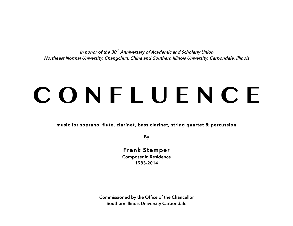**In honor of the 30<sup>th</sup> Anniversary of Academic and Scholarly Union Northeast Normal University, Changchun, China and Southern Illinois University, Carbondale, Illinois**

# **C O N F L U E N C E**

**music for soprano, flute, clarinet, bass clarinet, string quartet & percussion** 

**By**

### **Frank Stemper**

**Composer In Residence 1983-2014**

**Commissioned by the Office of the Chancellor Southern Illinois University Carbondale**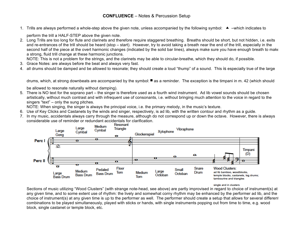### **CONFLUENCE** – Notes & Percussion Setup

1. Trills are always performed a whole-step above the given note, unless accompanied by the following symbol: 1 –which indicates to

perform the trill a HALF-STEP above the given note.

2. Long Trills are too long for flute and clarinets and therefore require staggered breathing. Breaths should be short, but not hidden, i.e. exits and re-entrances of the trill should be heard (stop – start). However, try to avoid taking a breath near the end of the trill, especially in the second half of the piece at the overt harmonic changes (indicated by the solid bar lines), always make sure you have enough breath to make a strong, fluid trill change at these harmonic junctions.

NOTE: This is not a problem for the strings, and the clarinets may be able to circular-breathe, which they should do, if possible.

- 3. Grace Notes: are always before the beat and always very fast.
- 4. all drums should be damped and be allowed to resonate; they should create a loud "thump" of a sound. This is especially true of the large

drums, which, at strong downbeats are accompanied by the symbol: as a reminder. The exception is the timpani in m. 42 (which should

be allowed to resonate naturally without damping).

5. There is NO text for the soprano part – the singer is therefore used as a fourth wind instrument. Ad lib vowel sounds should be chosen artistically, without much contrast and with infrequent use of consonants, i.e. without bringing much attention to the voice in regard to the singers "text" – only the sung pitches.

NOTE: When singing, the singer is always the principal voice, i.e. the primary melody, in the music's texture.

- 6. Use of Key Clicks and Castanets by the winds and singer, respectively, is ad lib, with the written contour and rhythm as a guide.
- 7. In my music, accidentals always carry through the measure, although do not correspond up or down the octave. However, there is always considerable use of reminder or redundant accidentals for clarification.<br>Resonant



#### single and in clusters

Sections of music utilizing "Wood Clusters" (with strange note-head, see above) are partly improvised in regard to choice of instrument(s) at any given time, and to some extent use of rhythm: the lively and somewhat corny rhythm may be enhanced by the performer ad lib, and the choice of instrument(s) at any given time is up to the performer as well. The performer should create a setup that allows for several different combinations to be played simultaneously, played with sticks or hands, with single instruments popping out from time to time, e.g. wood block, single castanet or temple block, etc.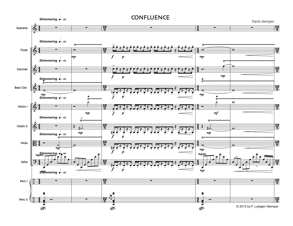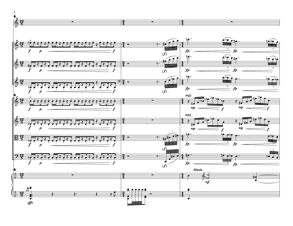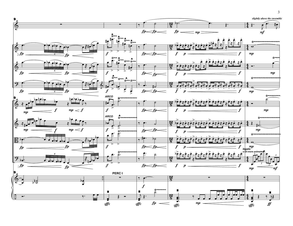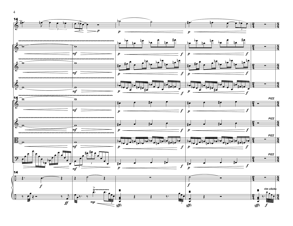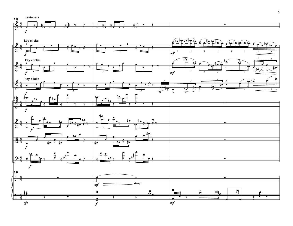![](_page_7_Figure_0.jpeg)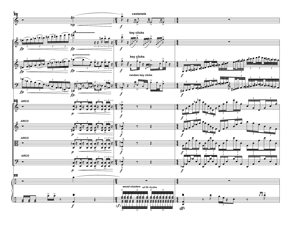![](_page_8_Figure_0.jpeg)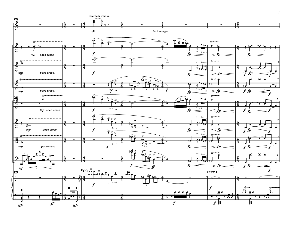![](_page_9_Figure_0.jpeg)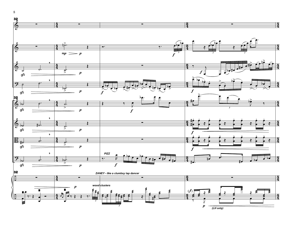![](_page_10_Figure_0.jpeg)

 $\, 8$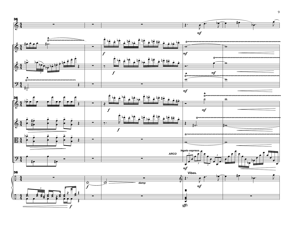![](_page_11_Figure_0.jpeg)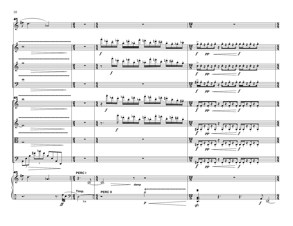![](_page_12_Figure_0.jpeg)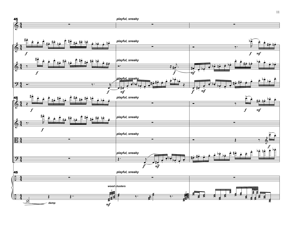![](_page_13_Figure_0.jpeg)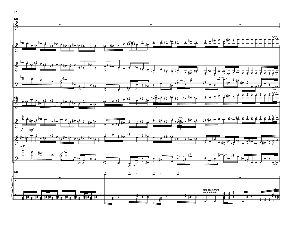![](_page_14_Figure_0.jpeg)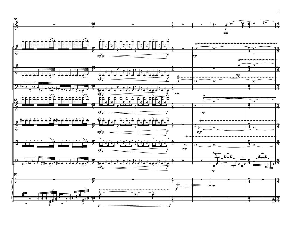![](_page_15_Figure_0.jpeg)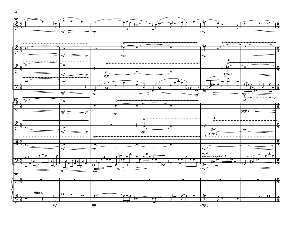![](_page_16_Figure_1.jpeg)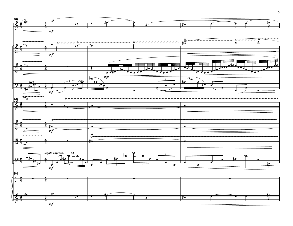![](_page_17_Figure_0.jpeg)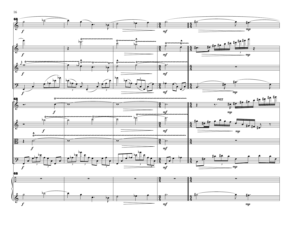![](_page_18_Figure_0.jpeg)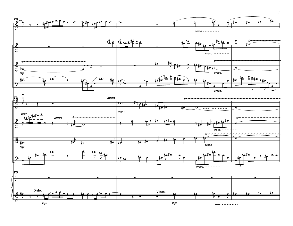![](_page_19_Figure_0.jpeg)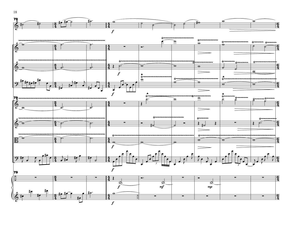![](_page_20_Figure_0.jpeg)